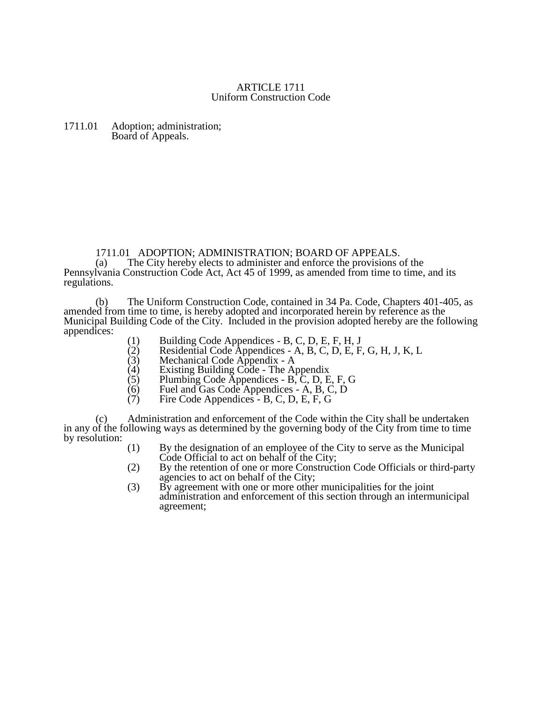## ARTICLE 1711 Uniform Construction Code

## 1711.01 Adoption; administration; Board of Appeals.

## 1711.01 ADOPTION; ADMINISTRATION; BOARD OF APPEALS.<br>(a) The City hereby elects to administer and enforce the provisions of

The City hereby elects to administer and enforce the provisions of the Pennsylvania Construction Code Act, Act 45 of 1999, as amended from time to time, and its regulations.

(b) The Uniform Construction Code, contained in 34 Pa. Code, Chapters 401-405, as amended from time to time, is hereby adopted and incorporated herein by reference as the Municipal Building Code of the City. Included in the provision adopted hereby are the following appendices:

- (1) Building Code Appendices B, C, D, E, F, H, J<br>(2) Residential Code Appendices A, B, C, D, E, F
- $(2)$  Residential Code Appendices A, B, C, D, E, F, G, H, J, K, L
- (3) Mechanical Code Appendix A
- $(4)$  Existing Building Code The Appendix
- (5) Plumbing Code Appendices B, C, D, E, F, G<br>(6) Fuel and Gas Code Appendices A, B, C, D
- $\begin{array}{ll}\n\text{(6)} & \text{Fuel and Gas Code Appendices A, B, C, D} \\
\text{(7)} & \text{Fire Code Appendices B, C, D, E, F, G}\n\end{array}$
- Fire Code Appendices B, C, D, E, F, G

(c) Administration and enforcement of the Code within the City shall be undertaken in any of the following ways as determined by the governing body of the City from time to time by resolution:

- (1) By the designation of an employee of the City to serve as the Municipal Code Official to act on behalf of the City;
- (2) By the retention of one or more Construction Code Officials or third-party agencies to act on behalf of the City;
- (3) By agreement with one or more other municipalities for the joint administration and enforcement of this section through an intermunicipal agreement;